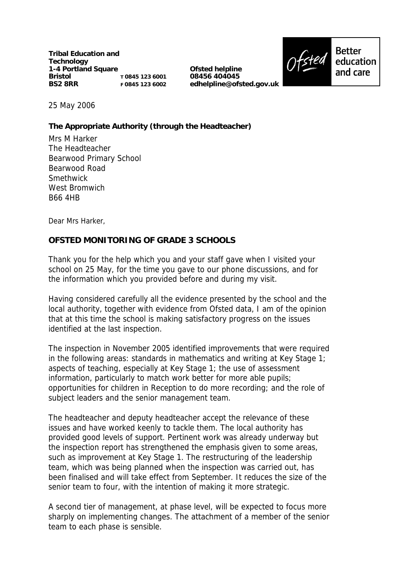**Tribal Education and Technology 1-4 Portland Square Bristol BS2 8RR T 0845 123 6001 F 0845 123 6002**

**Ofsted helpline 08456 404045 edhelpline@ofsted.gov.uk**



25 May 2006

**The Appropriate Authority (through the Headteacher)** 

Mrs M Harker The Headteacher Bearwood Primary School Bearwood Road Smethwick West Bromwich B66 4HB

Dear Mrs Harker,

**OFSTED MONITORING OF GRADE 3 SCHOOLS**

Thank you for the help which you and your staff gave when I visited your school on 25 May, for the time you gave to our phone discussions, and for the information which you provided before and during my visit.

Having considered carefully all the evidence presented by the school and the local authority, together with evidence from Ofsted data, I am of the opinion that at this time the school is making satisfactory progress on the issues identified at the last inspection.

The inspection in November 2005 identified improvements that were required in the following areas: standards in mathematics and writing at Key Stage 1; aspects of teaching, especially at Key Stage 1; the use of assessment information, particularly to match work better for more able pupils; opportunities for children in Reception to do more recording; and the role of subject leaders and the senior management team.

The headteacher and deputy headteacher accept the relevance of these issues and have worked keenly to tackle them. The local authority has provided good levels of support. Pertinent work was already underway but the inspection report has strengthened the emphasis given to some areas, such as improvement at Key Stage 1. The restructuring of the leadership team, which was being planned when the inspection was carried out, has been finalised and will take effect from September. It reduces the size of the senior team to four, with the intention of making it more strategic.

A second tier of management, at phase level, will be expected to focus more sharply on implementing changes. The attachment of a member of the senior team to each phase is sensible.